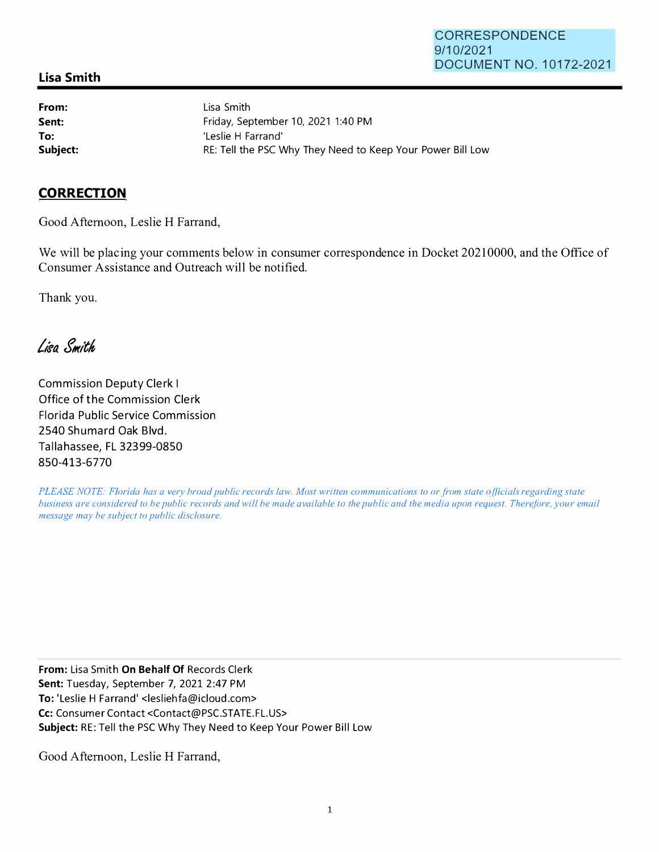## **Lisa Smith**

**From: Sent: To:** 

Lisa Smith Friday, September 10, 2021 1:40 PM 'Leslie H Farrand' **Subject: RE: Tell the PSC Why They Need to Keep Your Power Bill Low** 

## **CORRECTION**

Good Afternoon, Leslie H Farrand,

We will be placing your comments below in consumer correspondence in Docket 20210000, and the Office of Consumer Assistance and Outreach will be notified.

Thank you.

Lisa Smith

Commission Deputy Clerk I Office of the Commission Clerk Florida Public Service Commission 2540 Shumard Oak Blvd. Tallahassee, FL 32399-0850 **850-413-6770**

*PLEASE NOTE: Florida has a very broad public records law. Most written communications to or from state officials regarding state business are considered to be public records and will be made available to the public and the media upon request. Therefore, your email message may be subject to public disclosure.* 

**From:** Lisa Smith **On Behalf Of** Records Clerk **Sent:** Tuesday, September 7, 2021 2:47 PM **To:** 'Leslie H Farrand' <lesliehfa@icloud.com> Cc: Consumer Contact <Contact@PSC.STATE.FL.US> **Subject:** RE: Tell the PSC Why They Need to Keep Your Power Bill Low

Good Afternoon, Leslie H Farrand,